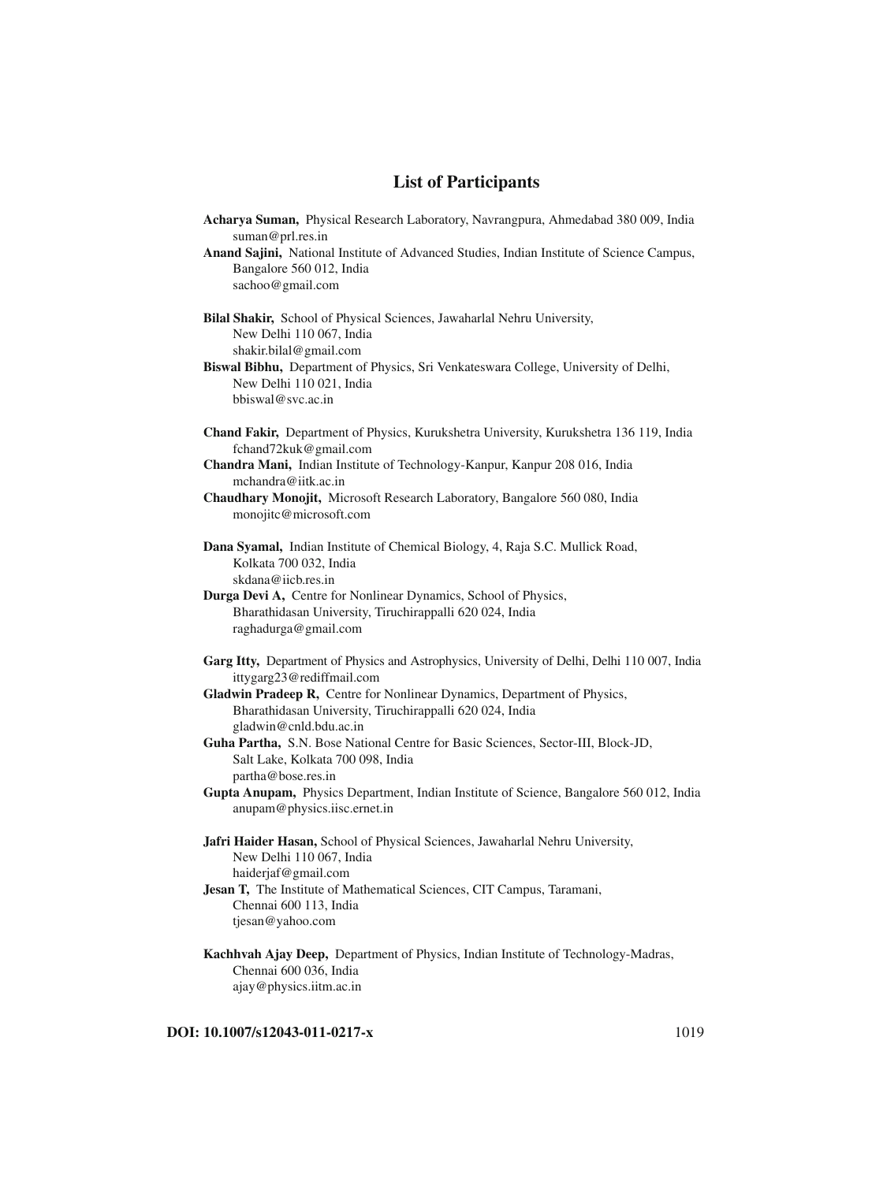## **List of Participants**

| Acharya Suman, Physical Research Laboratory, Navrangpura, Ahmedabad 380 009, India                            |
|---------------------------------------------------------------------------------------------------------------|
| suman@prl.res.in<br>Anand Sajini, National Institute of Advanced Studies, Indian Institute of Science Campus, |
| Bangalore 560 012, India                                                                                      |
| sachoo@gmail.com                                                                                              |
|                                                                                                               |
| Bilal Shakir, School of Physical Sciences, Jawaharlal Nehru University,                                       |
| New Delhi 110 067, India                                                                                      |
| shakir.bilal@gmail.com<br>Biswal Bibhu, Department of Physics, Sri Venkateswara College, University of Delhi, |
| New Delhi 110 021, India                                                                                      |
| bbiswal@svc.ac.in                                                                                             |
|                                                                                                               |
| Chand Fakir, Department of Physics, Kurukshetra University, Kurukshetra 136 119, India                        |
| fchand72kuk@gmail.com<br>Chandra Mani, Indian Institute of Technology-Kanpur, Kanpur 208 016, India           |
| mchandra@iitk.ac.in                                                                                           |
| Chaudhary Monojit, Microsoft Research Laboratory, Bangalore 560 080, India                                    |
| monojitc@microsoft.com                                                                                        |
|                                                                                                               |
| Dana Syamal, Indian Institute of Chemical Biology, 4, Raja S.C. Mullick Road,<br>Kolkata 700 032, India       |
| skdana@iicb.res.in                                                                                            |
| Durga Devi A, Centre for Nonlinear Dynamics, School of Physics,                                               |
| Bharathidasan University, Tiruchirappalli 620 024, India                                                      |
| raghadurga@gmail.com                                                                                          |
| Garg Itty, Department of Physics and Astrophysics, University of Delhi, Delhi 110 007, India                  |
| ittygarg23@rediffmail.com                                                                                     |
| Gladwin Pradeep R, Centre for Nonlinear Dynamics, Department of Physics,                                      |
| Bharathidasan University, Tiruchirappalli 620 024, India                                                      |
| gladwin@cnld.bdu.ac.in                                                                                        |
| Guha Partha, S.N. Bose National Centre for Basic Sciences, Sector-III, Block-JD,                              |
| Salt Lake, Kolkata 700 098, India<br>partha@bose.res.in                                                       |
| Gupta Anupam, Physics Department, Indian Institute of Science, Bangalore 560 012, India                       |
| anupam@physics.iisc.ernet.in                                                                                  |
|                                                                                                               |
| Jafri Haider Hasan, School of Physical Sciences, Jawaharlal Nehru University,                                 |
| New Delhi 110 067, India<br>haiderjaf@gmail.com                                                               |
| Jesan T, The Institute of Mathematical Sciences, CIT Campus, Taramani,                                        |
| Chennai 600 113, India                                                                                        |
| tjesan@yahoo.com                                                                                              |
| Kachhvah Ajay Deep, Department of Physics, Indian Institute of Technology-Madras,                             |
| Chennai 600 036, India                                                                                        |
| ajay@physics.iitm.ac.in                                                                                       |

**DOI:** 10.1007/s12043-011-0217-x 1019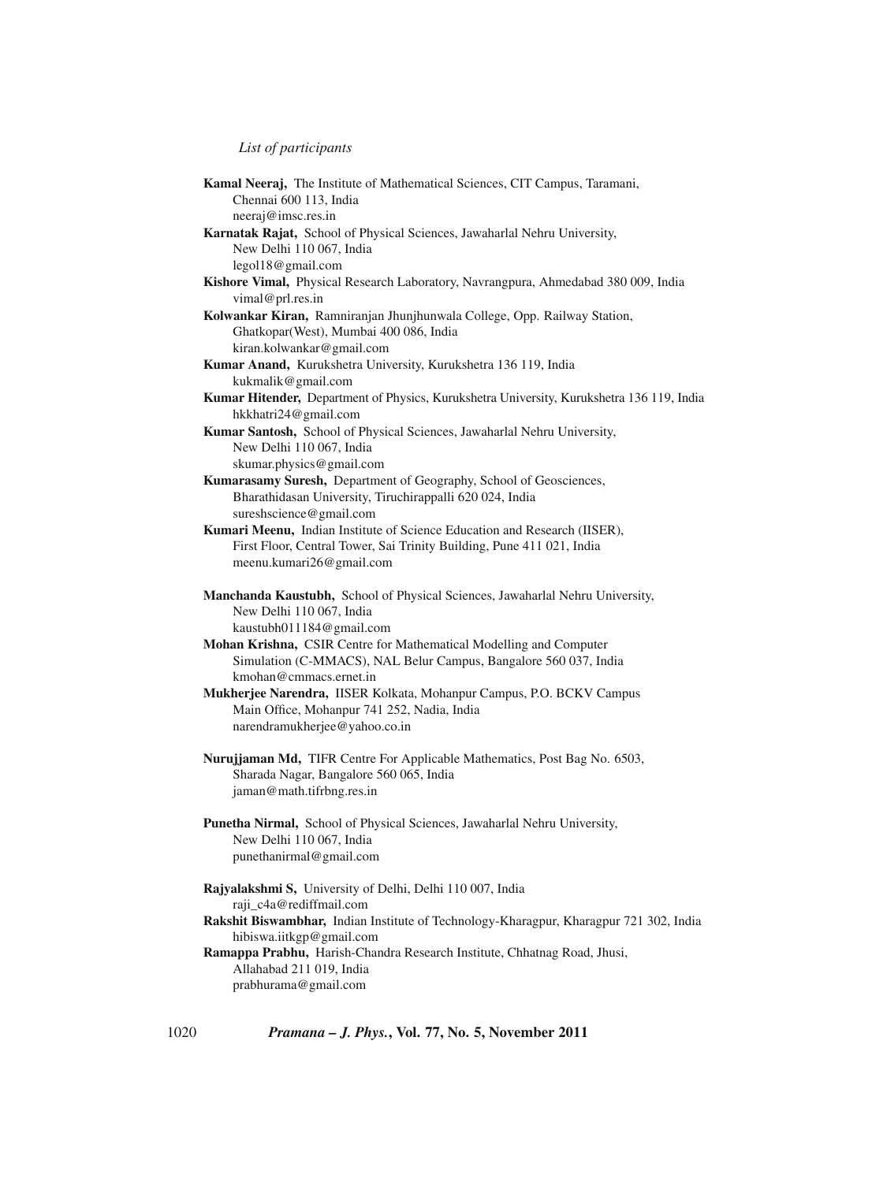*List of participants*

| Kamal Neeraj, The Institute of Mathematical Sciences, CIT Campus, Taramani,                                                                       |
|---------------------------------------------------------------------------------------------------------------------------------------------------|
| Chennai 600 113, India                                                                                                                            |
| neeraj@imsc.res.in                                                                                                                                |
| Karnatak Rajat, School of Physical Sciences, Jawaharlal Nehru University,                                                                         |
| New Delhi 110 067, India                                                                                                                          |
| legol18@gmail.com                                                                                                                                 |
| Kishore Vimal, Physical Research Laboratory, Navrangpura, Ahmedabad 380 009, India<br>vimal@prl.res.in                                            |
| Kolwankar Kiran, Ramniranjan Jhunjhunwala College, Opp. Railway Station,                                                                          |
| Ghatkopar(West), Mumbai 400 086, India                                                                                                            |
| kiran.kolwankar@gmail.com                                                                                                                         |
| Kumar Anand, Kurukshetra University, Kurukshetra 136 119, India                                                                                   |
| kukmalik@gmail.com                                                                                                                                |
| Kumar Hitender, Department of Physics, Kurukshetra University, Kurukshetra 136 119, India                                                         |
| hkkhatri24@gmail.com                                                                                                                              |
| Kumar Santosh, School of Physical Sciences, Jawaharlal Nehru University,                                                                          |
| New Delhi 110 067, India                                                                                                                          |
| skumar.physics@gmail.com                                                                                                                          |
| Kumarasamy Suresh, Department of Geography, School of Geosciences,                                                                                |
| Bharathidasan University, Tiruchirappalli 620 024, India                                                                                          |
| sureshscience@gmail.com                                                                                                                           |
| Kumari Meenu, Indian Institute of Science Education and Research (IISER),                                                                         |
| First Floor, Central Tower, Sai Trinity Building, Pune 411 021, India                                                                             |
| meenu.kumari26@gmail.com                                                                                                                          |
| Manchanda Kaustubh, School of Physical Sciences, Jawaharlal Nehru University,<br>New Delhi 110 067, India                                         |
| kaustubh011184@gmail.com                                                                                                                          |
| Mohan Krishna, CSIR Centre for Mathematical Modelling and Computer                                                                                |
| Simulation (C-MMACS), NAL Belur Campus, Bangalore 560 037, India                                                                                  |
| kmohan@cmmacs.ernet.in                                                                                                                            |
| Mukherjee Narendra, IISER Kolkata, Mohanpur Campus, P.O. BCKV Campus                                                                              |
| Main Office, Mohanpur 741 252, Nadia, India                                                                                                       |
| narendramukherjee@yahoo.co.in                                                                                                                     |
|                                                                                                                                                   |
| Nurujjaman Md, TIFR Centre For Applicable Mathematics, Post Bag No. 6503,<br>Sharada Nagar, Bangalore 560 065, India<br>jaman@math.tifrbng.res.in |
| Punetha Nirmal, School of Physical Sciences, Jawaharlal Nehru University,                                                                         |
| New Delhi 110 067, India                                                                                                                          |
| punethanirmal@gmail.com                                                                                                                           |
|                                                                                                                                                   |
| Rajyalakshmi S, University of Delhi, Delhi 110 007, India                                                                                         |
| raji_c4a@rediffmail.com<br>Rakshit Biswambhar, Indian Institute of Technology-Kharagpur, Kharagpur 721 302, India                                 |
| hibiswa.iitkgp@gmail.com                                                                                                                          |
|                                                                                                                                                   |
|                                                                                                                                                   |
| Ramappa Prabhu, Harish-Chandra Research Institute, Chhatnag Road, Jhusi,                                                                          |
| Allahabad 211 019, India<br>prabhurama@gmail.com                                                                                                  |

1020 *Pramana – J. Phys.***, Vol. 77, No. 5, November 2011**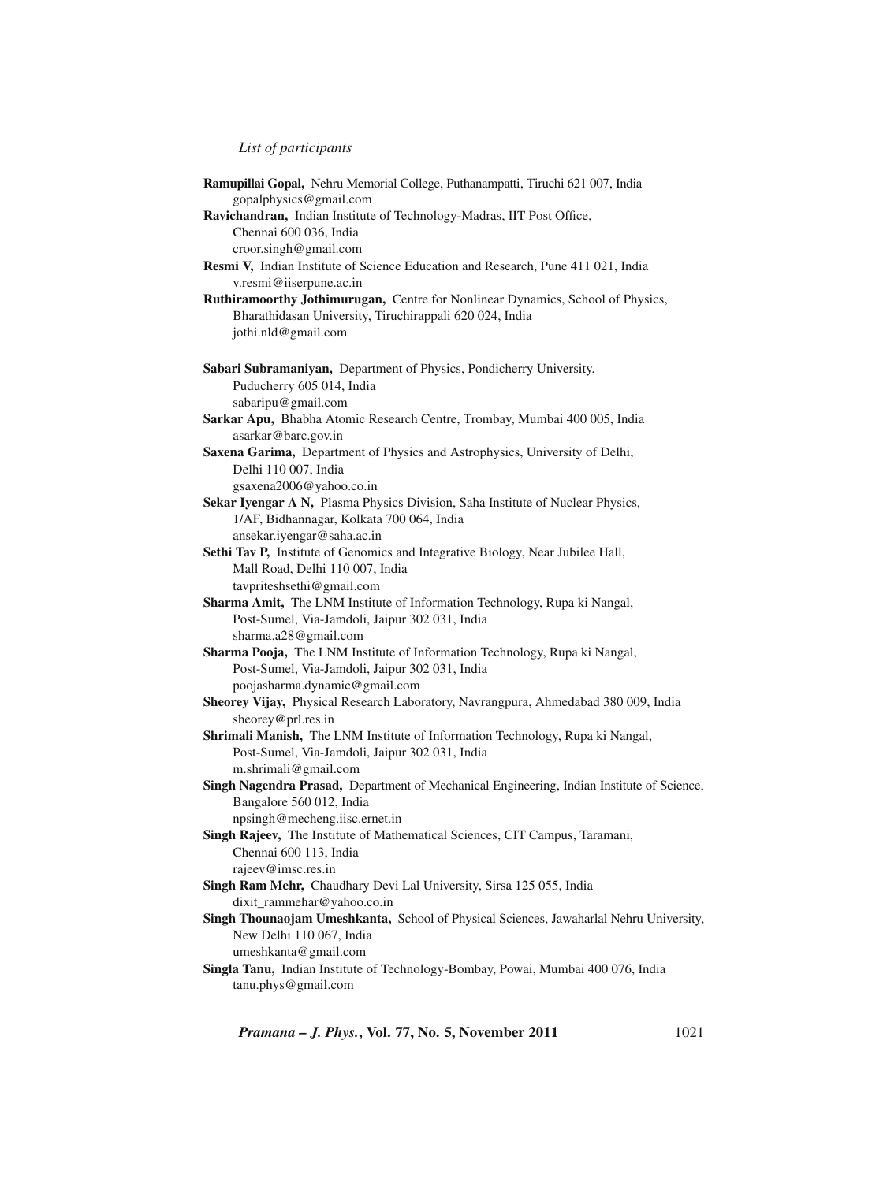*List of participants*

| Ramupillai Gopal, Nehru Memorial College, Puthanampatti, Tiruchi 621 007, India           |
|-------------------------------------------------------------------------------------------|
| gopalphysics@gmail.com                                                                    |
| Ravichandran, Indian Institute of Technology-Madras, IIT Post Office,                     |
| Chennai 600 036, India                                                                    |
| croor.singh@gmail.com                                                                     |
| Resmi V, Indian Institute of Science Education and Research, Pune 411 021, India          |
| v.resmi@iiserpune.ac.in                                                                   |
| Ruthiramoorthy Jothimurugan, Centre for Nonlinear Dynamics, School of Physics,            |
| Bharathidasan University, Tiruchirappali 620 024, India                                   |
| jothi.nld@gmail.com                                                                       |
| Sabari Subramaniyan, Department of Physics, Pondicherry University,                       |
| Puducherry 605 014, India                                                                 |
| sabaripu@gmail.com                                                                        |
| Sarkar Apu, Bhabha Atomic Research Centre, Trombay, Mumbai 400 005, India                 |
| asarkar@barc.gov.in                                                                       |
| Saxena Garima, Department of Physics and Astrophysics, University of Delhi,               |
| Delhi 110 007, India                                                                      |
| gsaxena2006@yahoo.co.in                                                                   |
| Sekar Iyengar A N, Plasma Physics Division, Saha Institute of Nuclear Physics,            |
| 1/AF, Bidhannagar, Kolkata 700 064, India                                                 |
| ansekar.iyengar@saha.ac.in                                                                |
| Sethi Tav P, Institute of Genomics and Integrative Biology, Near Jubilee Hall,            |
| Mall Road, Delhi 110 007, India                                                           |
| tavpriteshsethi@gmail.com                                                                 |
| Sharma Amit, The LNM Institute of Information Technology, Rupa ki Nangal,                 |
| Post-Sumel, Via-Jamdoli, Jaipur 302 031, India                                            |
| sharma.a28@gmail.com                                                                      |
| Sharma Pooja, The LNM Institute of Information Technology, Rupa ki Nangal,                |
| Post-Sumel, Via-Jamdoli, Jaipur 302 031, India                                            |
| poojasharma.dynamic@gmail.com                                                             |
| Sheorey Vijay, Physical Research Laboratory, Navrangpura, Ahmedabad 380 009, India        |
| sheorey@prl.res.in                                                                        |
| Shrimali Manish, The LNM Institute of Information Technology, Rupa ki Nangal,             |
| Post-Sumel, Via-Jamdoli, Jaipur 302 031, India                                            |
| m.shrimali@gmail.com                                                                      |
| Singh Nagendra Prasad, Department of Mechanical Engineering, Indian Institute of Science, |
| Bangalore 560 012, India                                                                  |
| npsingh@mecheng.iisc.ernet.in                                                             |
| Singh Rajeev, The Institute of Mathematical Sciences, CIT Campus, Taramani,               |
| Chennai 600 113, India                                                                    |
| rajeev@imsc.res.in                                                                        |
| Singh Ram Mehr, Chaudhary Devi Lal University, Sirsa 125 055, India                       |
| dixit_rammehar@yahoo.co.in                                                                |
| Singh Thounaojam Umeshkanta, School of Physical Sciences, Jawaharlal Nehru University,    |
| New Delhi 110 067, India                                                                  |
| umeshkanta@gmail.com                                                                      |
| Singla Tanu, Indian Institute of Technology-Bombay, Powai, Mumbai 400 076, India          |
| tanu.phys@gmail.com                                                                       |

*Pramana – J. Phys.***, Vol. 77, No. 5, November 2011** 1021